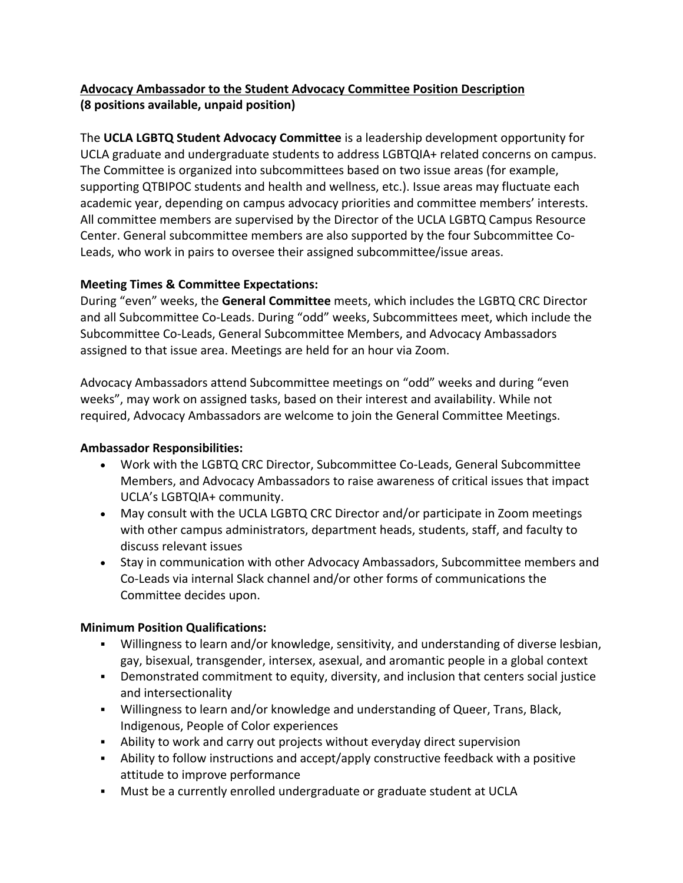# **Advocacy Ambassador to the Student Advocacy Committee Position Description (8 positions available, unpaid position)**

The **UCLA LGBTQ Student Advocacy Committee** is a leadership development opportunity for UCLA graduate and undergraduate students to address LGBTQIA+ related concerns on campus. The Committee is organized into subcommittees based on two issue areas (for example, supporting QTBIPOC students and health and wellness, etc.). Issue areas may fluctuate each academic year, depending on campus advocacy priorities and committee members' interests. All committee members are supervised by the Director of the UCLA LGBTQ Campus Resource Center. General subcommittee members are also supported by the four Subcommittee Co-Leads, who work in pairs to oversee their assigned subcommittee/issue areas.

## **Meeting Times & Committee Expectations:**

During "even" weeks, the **General Committee** meets, which includes the LGBTQ CRC Director and all Subcommittee Co-Leads. During "odd" weeks, Subcommittees meet, which include the Subcommittee Co-Leads, General Subcommittee Members, and Advocacy Ambassadors assigned to that issue area. Meetings are held for an hour via Zoom.

Advocacy Ambassadors attend Subcommittee meetings on "odd" weeks and during "even weeks", may work on assigned tasks, based on their interest and availability. While not required, Advocacy Ambassadors are welcome to join the General Committee Meetings.

## **Ambassador Responsibilities:**

- Work with the LGBTQ CRC Director, Subcommittee Co-Leads, General Subcommittee Members, and Advocacy Ambassadors to raise awareness of critical issues that impact UCLA's LGBTQIA+ community.
- May consult with the UCLA LGBTQ CRC Director and/or participate in Zoom meetings with other campus administrators, department heads, students, staff, and faculty to discuss relevant issues
- Stay in communication with other Advocacy Ambassadors, Subcommittee members and Co-Leads via internal Slack channel and/or other forms of communications the Committee decides upon.

## **Minimum Position Qualifications:**

- ! Willingness to learn and/or knowledge, sensitivity, and understanding of diverse lesbian, gay, bisexual, transgender, intersex, asexual, and aromantic people in a global context
- ! Demonstrated commitment to equity, diversity, and inclusion that centers social justice and intersectionality
- ! Willingness to learn and/or knowledge and understanding of Queer, Trans, Black, Indigenous, People of Color experiences
- . Ability to work and carry out projects without everyday direct supervision
- . Ability to follow instructions and accept/apply constructive feedback with a positive attitude to improve performance
- ! Must be a currently enrolled undergraduate or graduate student at UCLA